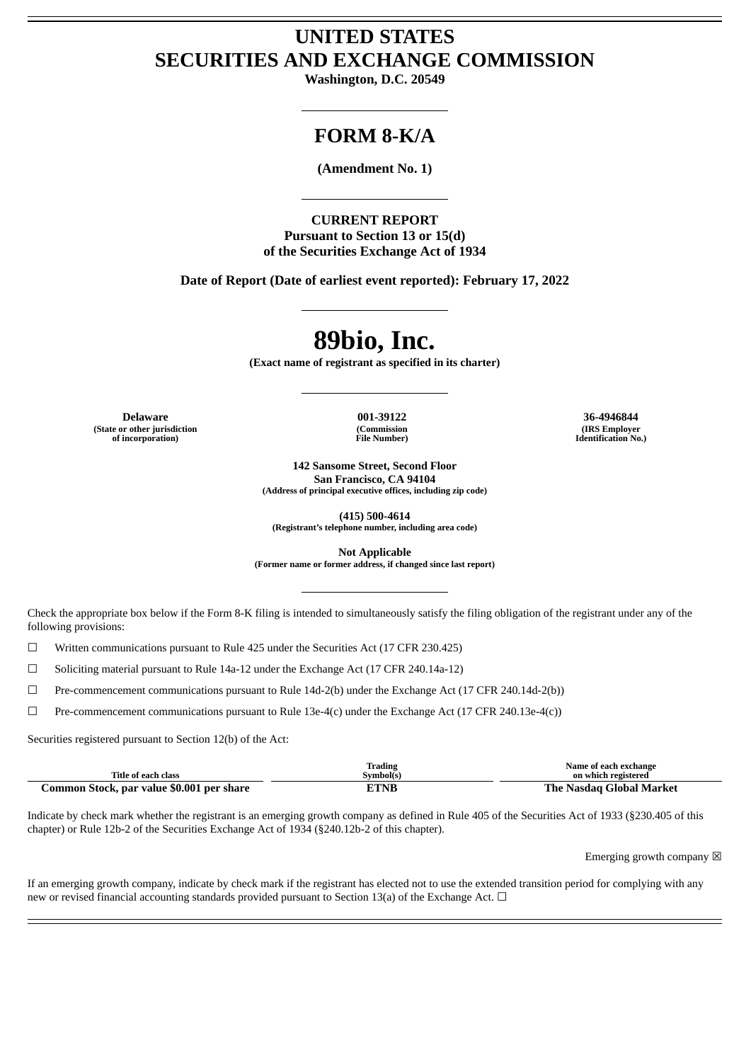# **UNITED STATES SECURITIES AND EXCHANGE COMMISSION**

**Washington, D.C. 20549**

## **FORM 8-K/A**

**(Amendment No. 1)**

**CURRENT REPORT Pursuant to Section 13 or 15(d) of the Securities Exchange Act of 1934**

**Date of Report (Date of earliest event reported): February 17, 2022**

# **89bio, Inc.**

**(Exact name of registrant as specified in its charter)**

**Delaware 001-39122 36-4946844 (State or other jurisdiction of incorporation)**

**(Commission File Number)**

**142 Sansome Street, Second Floor San Francisco, CA 94104**

**(Address of principal executive offices, including zip code)**

**(415) 500-4614 (Registrant's telephone number, including area code)**

**Not Applicable**

**(Former name or former address, if changed since last report)**

Check the appropriate box below if the Form 8-K filing is intended to simultaneously satisfy the filing obligation of the registrant under any of the following provisions:

 $\Box$  Written communications pursuant to Rule 425 under the Securities Act (17 CFR 230.425)

☐ Soliciting material pursuant to Rule 14a-12 under the Exchange Act (17 CFR 240.14a-12)

☐ Pre-commencement communications pursuant to Rule 14d-2(b) under the Exchange Act (17 CFR 240.14d-2(b))

 $\Box$  Pre-commencement communications pursuant to Rule 13e-4(c) under the Exchange Act (17 CFR 240.13e-4(c))

Securities registered pursuant to Section 12(b) of the Act:

|                                           | Trading           | Name of each exchange    |
|-------------------------------------------|-------------------|--------------------------|
| Title of each class                       | Symbol(s)         | on which registered      |
| Common Stock, par value \$0.001 per share | <sup>--</sup> TNB | The Nasdag Global Market |

Indicate by check mark whether the registrant is an emerging growth company as defined in Rule 405 of the Securities Act of 1933 (§230.405 of this chapter) or Rule 12b-2 of the Securities Exchange Act of 1934 (§240.12b-2 of this chapter).

Emerging growth company  $\boxtimes$ 

If an emerging growth company, indicate by check mark if the registrant has elected not to use the extended transition period for complying with any new or revised financial accounting standards provided pursuant to Section 13(a) of the Exchange Act.  $\Box$ 

**(IRS Employer Identification No.)**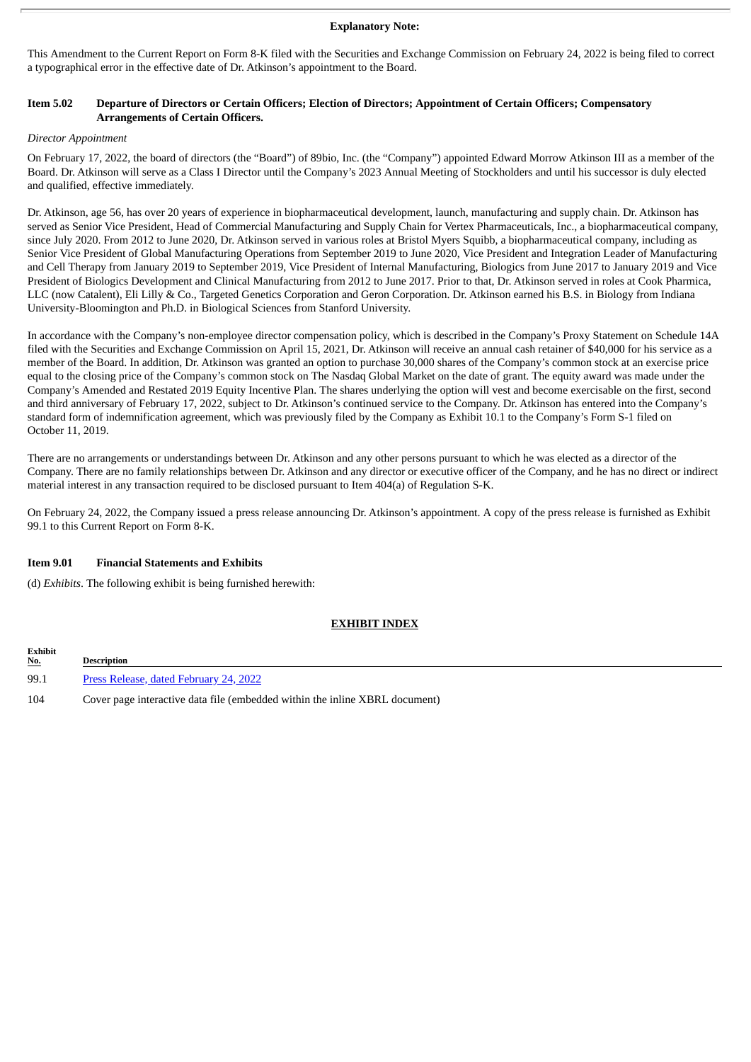#### **Explanatory Note:**

This Amendment to the Current Report on Form 8-K filed with the Securities and Exchange Commission on February 24, 2022 is being filed to correct a typographical error in the effective date of Dr. Atkinson's appointment to the Board.

#### Item 5.02 Departure of Directors or Certain Officers; Election of Directors; Appointment of Certain Officers; Compensatory **Arrangements of Certain Officers.**

#### *Director Appointment*

On February 17, 2022, the board of directors (the "Board") of 89bio, Inc. (the "Company") appointed Edward Morrow Atkinson III as a member of the Board. Dr. Atkinson will serve as a Class I Director until the Company's 2023 Annual Meeting of Stockholders and until his successor is duly elected and qualified, effective immediately.

Dr. Atkinson, age 56, has over 20 years of experience in biopharmaceutical development, launch, manufacturing and supply chain. Dr. Atkinson has served as Senior Vice President, Head of Commercial Manufacturing and Supply Chain for Vertex Pharmaceuticals, Inc., a biopharmaceutical company, since July 2020. From 2012 to June 2020, Dr. Atkinson served in various roles at Bristol Myers Squibb, a biopharmaceutical company, including as Senior Vice President of Global Manufacturing Operations from September 2019 to June 2020, Vice President and Integration Leader of Manufacturing and Cell Therapy from January 2019 to September 2019, Vice President of Internal Manufacturing, Biologics from June 2017 to January 2019 and Vice President of Biologics Development and Clinical Manufacturing from 2012 to June 2017. Prior to that, Dr. Atkinson served in roles at Cook Pharmica, LLC (now Catalent), Eli Lilly & Co., Targeted Genetics Corporation and Geron Corporation. Dr. Atkinson earned his B.S. in Biology from Indiana University-Bloomington and Ph.D. in Biological Sciences from Stanford University.

In accordance with the Company's non-employee director compensation policy, which is described in the Company's Proxy Statement on Schedule 14A filed with the Securities and Exchange Commission on April 15, 2021, Dr. Atkinson will receive an annual cash retainer of \$40,000 for his service as a member of the Board. In addition, Dr. Atkinson was granted an option to purchase 30,000 shares of the Company's common stock at an exercise price equal to the closing price of the Company's common stock on The Nasdaq Global Market on the date of grant. The equity award was made under the Company's Amended and Restated 2019 Equity Incentive Plan. The shares underlying the option will vest and become exercisable on the first, second and third anniversary of February 17, 2022, subject to Dr. Atkinson's continued service to the Company. Dr. Atkinson has entered into the Company's standard form of indemnification agreement, which was previously filed by the Company as Exhibit 10.1 to the Company's Form S-1 filed on October 11, 2019.

There are no arrangements or understandings between Dr. Atkinson and any other persons pursuant to which he was elected as a director of the Company. There are no family relationships between Dr. Atkinson and any director or executive officer of the Company, and he has no direct or indirect material interest in any transaction required to be disclosed pursuant to Item 404(a) of Regulation S-K.

On February 24, 2022, the Company issued a press release announcing Dr. Atkinson's appointment. A copy of the press release is furnished as Exhibit 99.1 to this Current Report on Form 8-K.

#### **Item 9.01 Financial Statements and Exhibits**

(d) *Exhibits*. The following exhibit is being furnished herewith:

#### **EXHIBIT INDEX**

| <b>Exhibit</b><br><u>No.</u> | Description                                                                 |  |
|------------------------------|-----------------------------------------------------------------------------|--|
| 99.1                         | Press Release, dated February 24, 2022                                      |  |
| 104                          | Cover page interactive data file (embedded within the inline XBRL document) |  |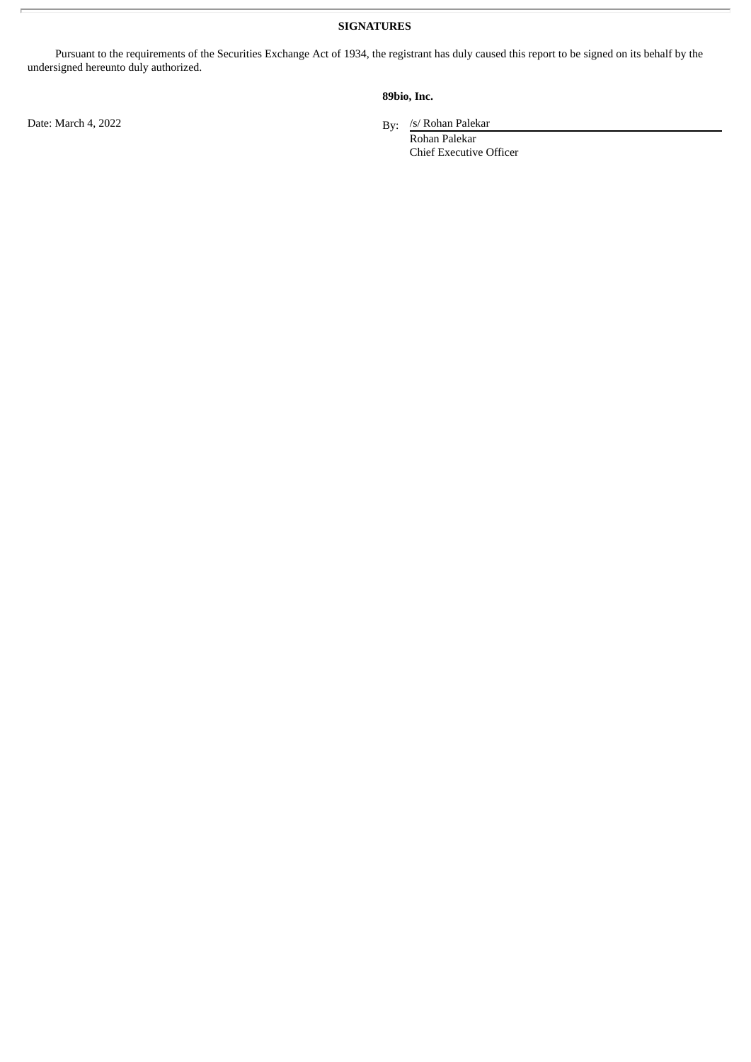**SIGNATURES**

Pursuant to the requirements of the Securities Exchange Act of 1934, the registrant has duly caused this report to be signed on its behalf by the undersigned hereunto duly authorized.

### **89bio, Inc.**

By: /s/ Rohan Palekar

Rohan Palekar Chief Executive Officer

Date: March 4, 2022